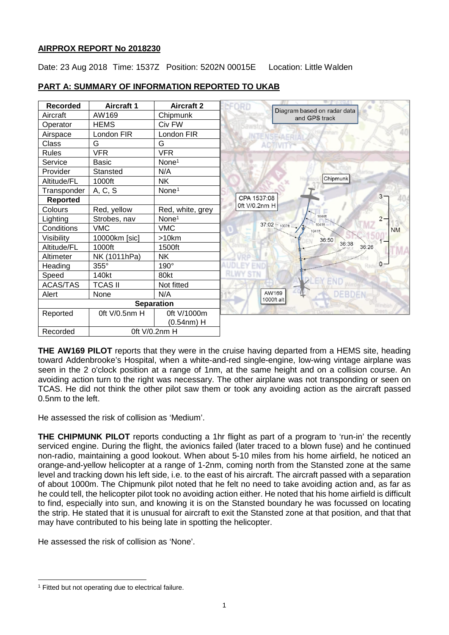# **AIRPROX REPORT No 2018230**

Date: 23 Aug 2018 Time: 1537Z Position: 5202N 00015E Location: Little Walden



# **PART A: SUMMARY OF INFORMATION REPORTED TO UKAB**

**THE AW169 PILOT** reports that they were in the cruise having departed from a HEMS site, heading toward Addenbrooke's Hospital, when a white-and-red single-engine, low-wing vintage airplane was seen in the 2 o'clock position at a range of 1nm, at the same height and on a collision course. An avoiding action turn to the right was necessary. The other airplane was not transponding or seen on TCAS. He did not think the other pilot saw them or took any avoiding action as the aircraft passed 0.5nm to the left.

He assessed the risk of collision as 'Medium'.

**THE CHIPMUNK PILOT** reports conducting a 1hr flight as part of a program to 'run-in' the recently serviced engine. During the flight, the avionics failed (later traced to a blown fuse) and he continued non-radio, maintaining a good lookout. When about 5-10 miles from his home airfield, he noticed an orange-and-yellow helicopter at a range of 1-2nm, coming north from the Stansted zone at the same level and tracking down his left side, i.e. to the east of his aircraft. The aircraft passed with a separation of about 1000m. The Chipmunk pilot noted that he felt no need to take avoiding action and, as far as he could tell, the helicopter pilot took no avoiding action either. He noted that his home airfield is difficult to find, especially into sun, and knowing it is on the Stansted boundary he was focussed on locating the strip. He stated that it is unusual for aircraft to exit the Stansted zone at that position, and that that may have contributed to his being late in spotting the helicopter.

He assessed the risk of collision as 'None'.

 $\overline{\phantom{a}}$ 

<span id="page-0-0"></span><sup>&</sup>lt;sup>1</sup> Fitted but not operating due to electrical failure.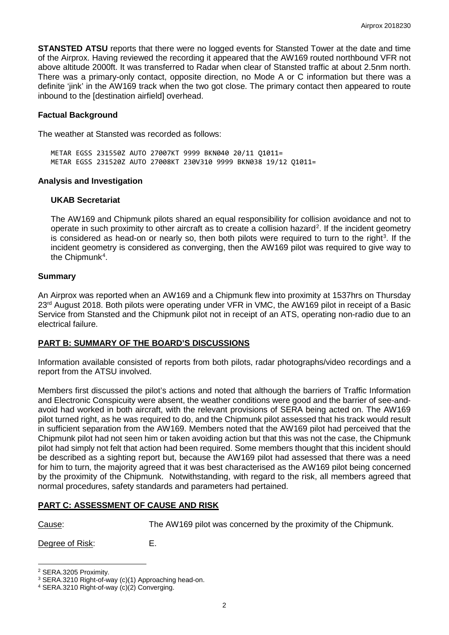**STANSTED ATSU** reports that there were no logged events for Stansted Tower at the date and time of the Airprox. Having reviewed the recording it appeared that the AW169 routed northbound VFR not above altitude 2000ft. It was transferred to Radar when clear of Stansted traffic at about 2.5nm north. There was a primary-only contact, opposite direction, no Mode A or C information but there was a definite 'jink' in the AW169 track when the two got close. The primary contact then appeared to route inbound to the [destination airfield] overhead.

### **Factual Background**

The weather at Stansted was recorded as follows:

METAR EGSS 231550Z AUTO 27007KT 9999 BKN040 20/11 Q1011= METAR EGSS 231520Z AUTO 27008KT 230V310 9999 BKN038 19/12 Q1011=

#### **Analysis and Investigation**

#### **UKAB Secretariat**

The AW169 and Chipmunk pilots shared an equal responsibility for collision avoidance and not to operate in such proximity to other aircraft as to create a collision hazard<sup>[2](#page-1-0)</sup>. If the incident geometry is considered as head-on or nearly so, then both pilots were required to turn to the right<sup>[3](#page-1-1)</sup>. If the incident geometry is considered as converging, then the AW169 pilot was required to give way to the Chipmunk<sup>[4](#page-1-2)</sup>.

#### **Summary**

An Airprox was reported when an AW169 and a Chipmunk flew into proximity at 1537hrs on Thursday 23<sup>rd</sup> August 2018. Both pilots were operating under VFR in VMC, the AW169 pilot in receipt of a Basic Service from Stansted and the Chipmunk pilot not in receipt of an ATS, operating non-radio due to an electrical failure.

#### **PART B: SUMMARY OF THE BOARD'S DISCUSSIONS**

Information available consisted of reports from both pilots, radar photographs/video recordings and a report from the ATSU involved.

Members first discussed the pilot's actions and noted that although the barriers of Traffic Information and Electronic Conspicuity were absent, the weather conditions were good and the barrier of see-andavoid had worked in both aircraft, with the relevant provisions of SERA being acted on. The AW169 pilot turned right, as he was required to do, and the Chipmunk pilot assessed that his track would result in sufficient separation from the AW169. Members noted that the AW169 pilot had perceived that the Chipmunk pilot had not seen him or taken avoiding action but that this was not the case, the Chipmunk pilot had simply not felt that action had been required. Some members thought that this incident should be described as a sighting report but, because the AW169 pilot had assessed that there was a need for him to turn, the majority agreed that it was best characterised as the AW169 pilot being concerned by the proximity of the Chipmunk. Notwithstanding, with regard to the risk, all members agreed that normal procedures, safety standards and parameters had pertained.

# **PART C: ASSESSMENT OF CAUSE AND RISK**

 $\overline{\phantom{a}}$ 

Cause: The AW169 pilot was concerned by the proximity of the Chipmunk.

Degree of Risk: E.

<span id="page-1-0"></span><sup>2</sup> SERA.3205 Proximity.

<span id="page-1-1"></span><sup>3</sup> SERA.3210 Right-of-way (c)(1) Approaching head-on.

<span id="page-1-2"></span><sup>4</sup> SERA.3210 Right-of-way (c)(2) Converging.